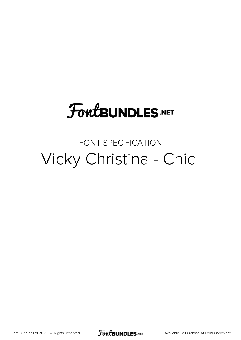#### **FoutBUNDLES.NET**

#### FONT SPECIFICATION Vicky Christina - Chic

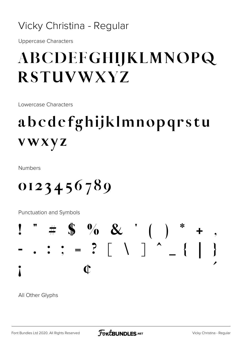#### Vicky Christina - Regular

Uppercase Characters

#### ABCDEFGHIJKLMNOPQ RSTUVWXYZ

Lowercase Characters

#### abcdefghijklmnopqrstu vwxyz

Numbers

0123456789

Punctuation and Symbols



All Other Glyphs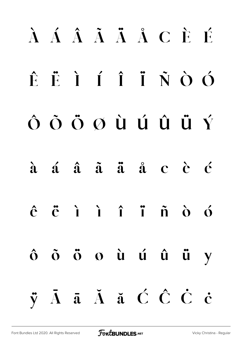# À Á Â Ã Ä Å Ç È É Ê Ë Ì Í Î Ï Ñ Ò Ó Ô Õ Ö Ø Ù Ú Û Ü Ý à á â ã ä å ç è é ê ë ì í î ï ñ ò ó ô õ ö ø ù ú û ü ý ÿ Ā ā Ă ă Ć Ĉ Ċ ċ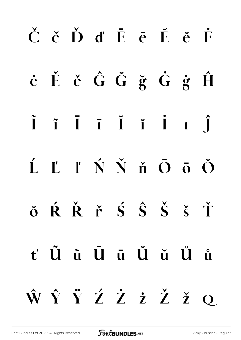# Č č Ď ď Ē ē Ĕ ĕ Ė ė Ě ě Ĝ Ğ ğ Ġ ġ Ĥ Ĩ ĩ Ī ī Ĭ ĭ İ ı Ĵ Ĺ Ľ ľ Ń Ň ň Ō ō Ŏ ŏ Ŕ Ř ř Ś Ŝ Š š Ť ť Ũ ũ Ū ū Ŭ ŭ Ů ů Ŵ Ŷ Ÿ Ź Ż ż Ž ž ǫ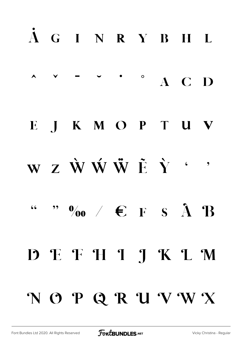# A G I N R Y B H L  $\land \quad \lor \quad \neg \quad \lor \quad \bullet \quad \circ \quad \land \quad C \quad D$ E J K M O P T U V W Z Ŵ Ŵ W F Y ''  $\cdots$  "  $\phi_0$  /  $\in$   $\rightarrow$   $\in$   $\rightarrow$   $\rightarrow$   $\rightarrow$   $\rightarrow$ D E F H I J K L M NOPQRUVWX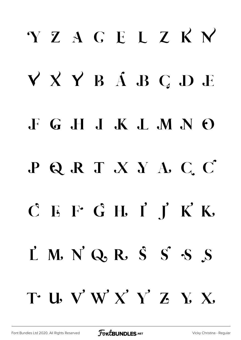# YZACELZKN V X Y B A B C D E **F** G H J K L M N O PQRTXYACC  $C$  E F G H I  $\int K$  K  $\mathbf{L}$  M. N'Q. R.  $\mathbf{S}$  S'S S T U V W X Y Z Y X.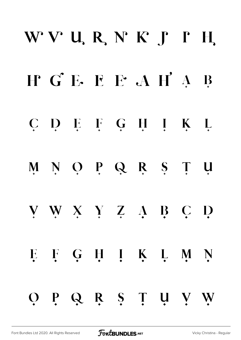# WVURNFFH H G E E E A H A B C D E F G H I K L M N O P Q R S T U V W X Y Z A B C D E F G H I K L M N OPQR STUVW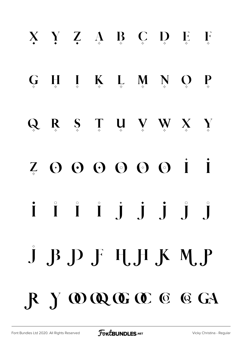# $X \ Y \ Z \ A \ B \ C \ D \ E \ F$  $G \quad H \quad I \quad K \quad L \quad M \quad N \quad Q \quad P$  $Q \t R \t S \t T \t W \t W \t X \t Y$ Z O O O O O O I I i i i j j j j j  $J$   $B$   $D$   $F$   $H$ ,  $H$   $K$   $M$ ,  $P$ R Y W Q C C C G GA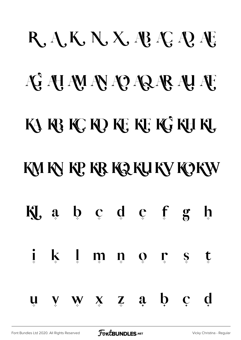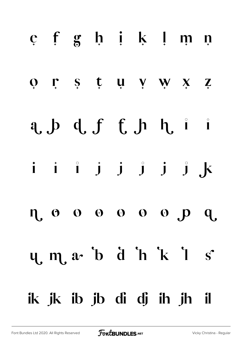# e f g h i k l m n or s t u v w x z a,  $p$  d,  $f$  f,  $p$  h,  $i$  i i i î j j j j j k n o o o o o o p q  $y, m, a$  b d h k l s ik jk ib jb di dj ih jh il